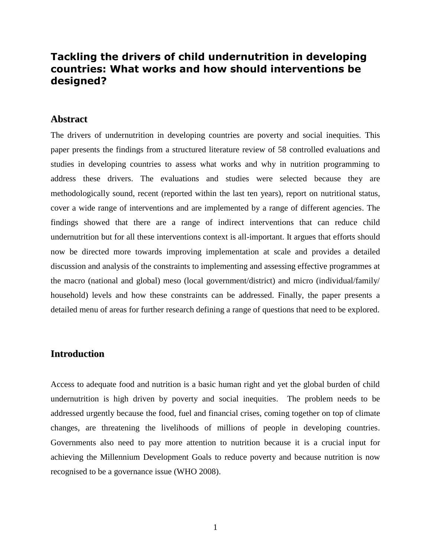# **Tackling the drivers of child undernutrition in developing countries: What works and how should interventions be designed?**

# **Abstract**

The drivers of undernutrition in developing countries are poverty and social inequities. This paper presents the findings from a structured literature review of 58 controlled evaluations and studies in developing countries to assess what works and why in nutrition programming to address these drivers. The evaluations and studies were selected because they are methodologically sound, recent (reported within the last ten years), report on nutritional status, cover a wide range of interventions and are implemented by a range of different agencies. The findings showed that there are a range of indirect interventions that can reduce child undernutrition but for all these interventions context is all-important. It argues that efforts should now be directed more towards improving implementation at scale and provides a detailed discussion and analysis of the constraints to implementing and assessing effective programmes at the macro (national and global) meso (local government/district) and micro (individual/family/ household) levels and how these constraints can be addressed. Finally, the paper presents a detailed menu of areas for further research defining a range of questions that need to be explored.

# **Introduction**

Access to adequate food and nutrition is a basic human right and yet the global burden of child undernutrition is high driven by poverty and social inequities. The problem needs to be addressed urgently because the food, fuel and financial crises, coming together on top of climate changes, are threatening the livelihoods of millions of people in developing countries. Governments also need to pay more attention to nutrition because it is a crucial input for achieving the Millennium Development Goals to reduce poverty and because nutrition is now recognised to be a governance issue (WHO 2008).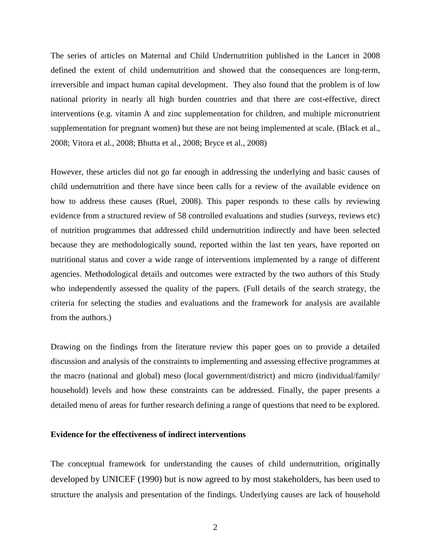The series of articles on Maternal and Child Undernutrition published in the Lancet in 2008 defined the extent of child undernutrition and showed that the consequences are long-term, irreversible and impact human capital development. They also found that the problem is of low national priority in nearly all high burden countries and that there are cost-effective, direct interventions (e.g. vitamin A and zinc supplementation for children, and multiple micronutrient supplementation for pregnant women) but these are not being implemented at scale. (Black et al., 2008; Vitora et al., 2008; Bhutta et al., 2008; Bryce et al., 2008)

However, these articles did not go far enough in addressing the underlying and basic causes of child undernutrition and there have since been calls for a review of the available evidence on how to address these causes (Ruel, 2008). This paper responds to these calls by reviewing evidence from a structured review of 58 controlled evaluations and studies (surveys, reviews etc) of nutrition programmes that addressed child undernutrition indirectly and have been selected because they are methodologically sound, reported within the last ten years, have reported on nutritional status and cover a wide range of interventions implemented by a range of different agencies. Methodological details and outcomes were extracted by the two authors of this Study who independently assessed the quality of the papers. (Full details of the search strategy, the criteria for selecting the studies and evaluations and the framework for analysis are available from the authors.)

Drawing on the findings from the literature review this paper goes on to provide a detailed discussion and analysis of the constraints to implementing and assessing effective programmes at the macro (national and global) meso (local government/district) and micro (individual/family/ household) levels and how these constraints can be addressed. Finally, the paper presents a detailed menu of areas for further research defining a range of questions that need to be explored.

# **Evidence for the effectiveness of indirect interventions**

The conceptual framework for understanding the causes of child undernutrition, originally developed by UNICEF (1990) but is now agreed to by most stakeholders, has been used to structure the analysis and presentation of the findings. Underlying causes are lack of household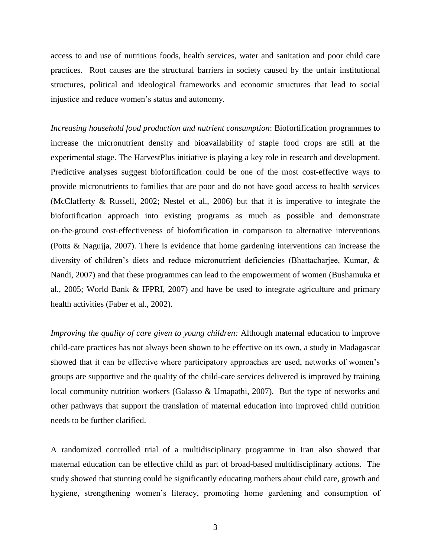access to and use of nutritious foods, health services, water and sanitation and poor child care practices. Root causes are the structural barriers in society caused by the unfair institutional structures, political and ideological frameworks and economic structures that lead to social injustice and reduce women's status and autonomy.

*Increasing household food production and nutrient consumption*: Biofortification programmes to increase the micronutrient density and bioavailability of staple food crops are still at the experimental stage. The HarvestPlus initiative is playing a key role in research and development. Predictive analyses suggest biofortification could be one of the most cost-effective ways to provide micronutrients to families that are poor and do not have good access to health services (McClafferty & Russell, 2002; Nestel et al., 2006) but that it is imperative to integrate the biofortification approach into existing programs as much as possible and demonstrate on‐the‐ground cost‐effectiveness of biofortification in comparison to alternative interventions (Potts & Nagujja, 2007). There is evidence that home gardening interventions can increase the diversity of children's diets and reduce micronutrient deficiencies (Bhattacharjee, Kumar, & Nandi, 2007) and that these programmes can lead to the empowerment of women (Bushamuka et al., 2005; World Bank & IFPRI, 2007) and have be used to integrate agriculture and primary health activities (Faber et al., 2002).

*Improving the quality of care given to young children:* Although maternal education to improve child-care practices has not always been shown to be effective on its own, a study in Madagascar showed that it can be effective where participatory approaches are used, networks of women's groups are supportive and the quality of the child-care services delivered is improved by training local community nutrition workers (Galasso & Umapathi, 2007). But the type of networks and other pathways that support the translation of maternal education into improved child nutrition needs to be further clarified.

A randomized controlled trial of a multidisciplinary programme in Iran also showed that maternal education can be effective child as part of broad-based multidisciplinary actions. The study showed that stunting could be significantly educating mothers about child care, growth and hygiene, strengthening women's literacy, promoting home gardening and consumption of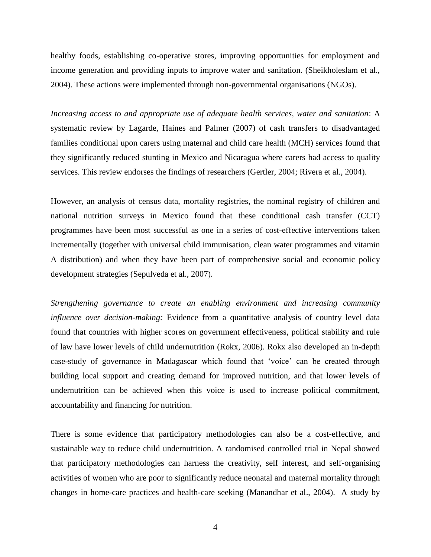healthy foods, establishing co-operative stores, improving opportunities for employment and income generation and providing inputs to improve water and sanitation. (Sheikholeslam et al., 2004). These actions were implemented through non-governmental organisations (NGOs).

*Increasing access to and appropriate use of adequate health services, water and sanitation*: A systematic review by Lagarde, Haines and Palmer (2007) of cash transfers to disadvantaged families conditional upon carers using maternal and child care health (MCH) services found that they significantly reduced stunting in Mexico and Nicaragua where carers had access to quality services. This review endorses the findings of researchers (Gertler, 2004; Rivera et al., 2004).

However, an analysis of census data, mortality registries, the nominal registry of children and national nutrition surveys in Mexico found that these conditional cash transfer (CCT) programmes have been most successful as one in a series of cost-effective interventions taken incrementally (together with universal child immunisation, clean water programmes and vitamin A distribution) and when they have been part of comprehensive social and economic policy development strategies (Sepulveda et al., 2007).

*Strengthening governance to create an enabling environment and increasing community influence over decision-making:* Evidence from a quantitative analysis of country level data found that countries with higher scores on government effectiveness, political stability and rule of law have lower levels of child undernutrition (Rokx, 2006). Rokx also developed an in-depth case-study of governance in Madagascar which found that 'voice' can be created through building local support and creating demand for improved nutrition, and that lower levels of undernutrition can be achieved when this voice is used to increase political commitment, accountability and financing for nutrition.

There is some evidence that participatory methodologies can also be a cost-effective, and sustainable way to reduce child undernutrition. A randomised controlled trial in Nepal showed that participatory methodologies can harness the creativity, self interest, and self-organising activities of women who are poor to significantly reduce neonatal and maternal mortality through changes in home-care practices and health-care seeking (Manandhar et al., 2004). A study by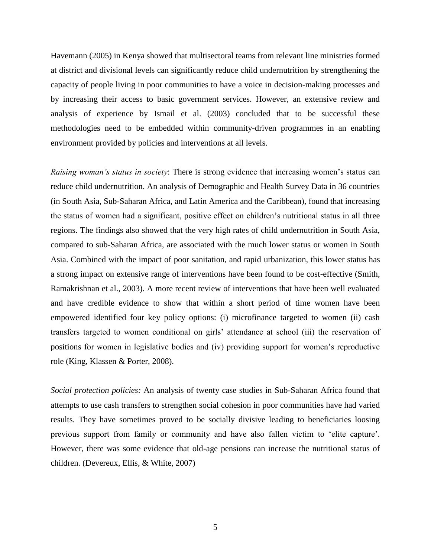Havemann (2005) in Kenya showed that multisectoral teams from relevant line ministries formed at district and divisional levels can significantly reduce child undernutrition by strengthening the capacity of people living in poor communities to have a voice in decision-making processes and by increasing their access to basic government services. However, an extensive review and analysis of experience by Ismail et al. (2003) concluded that to be successful these methodologies need to be embedded within community-driven programmes in an enabling environment provided by policies and interventions at all levels.

*Raising woman's status in society*: There is strong evidence that increasing women's status can reduce child undernutrition. An analysis of Demographic and Health Survey Data in 36 countries (in South Asia, Sub-Saharan Africa, and Latin America and the Caribbean), found that increasing the status of women had a significant, positive effect on children's nutritional status in all three regions. The findings also showed that the very high rates of child undernutrition in South Asia, compared to sub-Saharan Africa, are associated with the much lower status or women in South Asia. Combined with the impact of poor sanitation, and rapid urbanization, this lower status has a strong impact on extensive range of interventions have been found to be cost-effective (Smith, Ramakrishnan et al., 2003). A more recent review of interventions that have been well evaluated and have credible evidence to show that within a short period of time women have been empowered identified four key policy options: (i) microfinance targeted to women (ii) cash transfers targeted to women conditional on girls' attendance at school (iii) the reservation of positions for women in legislative bodies and (iv) providing support for women's reproductive role (King, Klassen & Porter, 2008).

*Social protection policies:* An analysis of twenty case studies in Sub-Saharan Africa found that attempts to use cash transfers to strengthen social cohesion in poor communities have had varied results. They have sometimes proved to be socially divisive leading to beneficiaries loosing previous support from family or community and have also fallen victim to 'elite capture'. However, there was some evidence that old-age pensions can increase the nutritional status of children. (Devereux, Ellis, & White, 2007)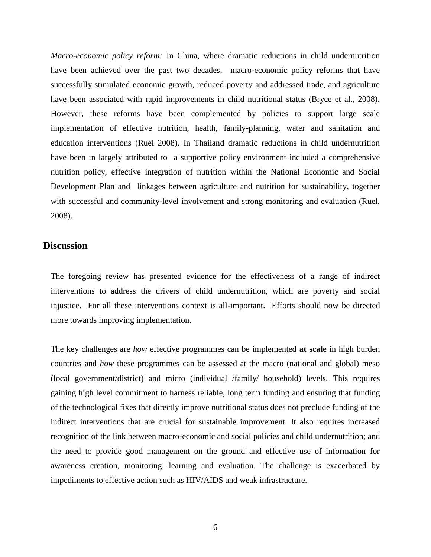*Macro-economic policy reform:* In China, where dramatic reductions in child undernutrition have been achieved over the past two decades, macro-economic policy reforms that have successfully stimulated economic growth, reduced poverty and addressed trade, and agriculture have been associated with rapid improvements in child nutritional status (Bryce et al., 2008). However, these reforms have been complemented by policies to support large scale implementation of effective nutrition, health, family-planning, water and sanitation and education interventions (Ruel 2008). In Thailand dramatic reductions in child undernutrition have been in largely attributed to a supportive policy environment included a comprehensive nutrition policy, effective integration of nutrition within the National Economic and Social Development Plan and linkages between agriculture and nutrition for sustainability, together with successful and community-level involvement and strong monitoring and evaluation (Ruel, 2008).

# **Discussion**

The foregoing review has presented evidence for the effectiveness of a range of indirect interventions to address the drivers of child undernutrition, which are poverty and social injustice. For all these interventions context is all-important. Efforts should now be directed more towards improving implementation.

The key challenges are *how* effective programmes can be implemented **at scale** in high burden countries and *how* these programmes can be assessed at the macro (national and global) meso (local government/district) and micro (individual /family/ household) levels. This requires gaining high level commitment to harness reliable, long term funding and ensuring that funding of the technological fixes that directly improve nutritional status does not preclude funding of the indirect interventions that are crucial for sustainable improvement. It also requires increased recognition of the link between macro-economic and social policies and child undernutrition; and the need to provide good management on the ground and effective use of information for awareness creation, monitoring, learning and evaluation. The challenge is exacerbated by impediments to effective action such as HIV/AIDS and weak infrastructure.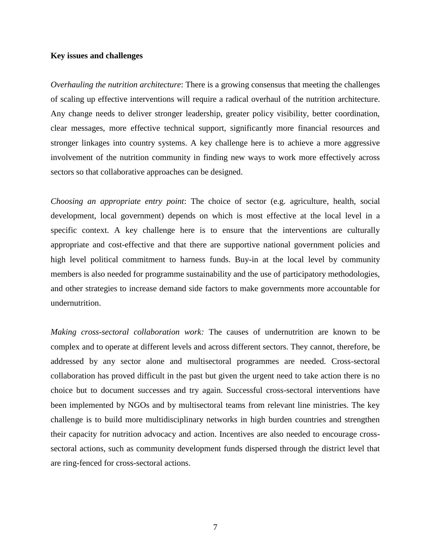# **Key issues and challenges**

*Overhauling the nutrition architecture*: There is a growing consensus that meeting the challenges of scaling up effective interventions will require a radical overhaul of the nutrition architecture. Any change needs to deliver stronger leadership, greater policy visibility, better coordination, clear messages, more effective technical support, significantly more financial resources and stronger linkages into country systems. A key challenge here is to achieve a more aggressive involvement of the nutrition community in finding new ways to work more effectively across sectors so that collaborative approaches can be designed.

*Choosing an appropriate entry point*: The choice of sector (e.g. agriculture, health, social development, local government) depends on which is most effective at the local level in a specific context. A key challenge here is to ensure that the interventions are culturally appropriate and cost-effective and that there are supportive national government policies and high level political commitment to harness funds. Buy-in at the local level by community members is also needed for programme sustainability and the use of participatory methodologies, and other strategies to increase demand side factors to make governments more accountable for undernutrition.

*Making cross-sectoral collaboration work:* The causes of undernutrition are known to be complex and to operate at different levels and across different sectors. They cannot, therefore, be addressed by any sector alone and multisectoral programmes are needed. Cross-sectoral collaboration has proved difficult in the past but given the urgent need to take action there is no choice but to document successes and try again. Successful cross-sectoral interventions have been implemented by NGOs and by multisectoral teams from relevant line ministries. The key challenge is to build more multidisciplinary networks in high burden countries and strengthen their capacity for nutrition advocacy and action. Incentives are also needed to encourage crosssectoral actions, such as community development funds dispersed through the district level that are ring-fenced for cross-sectoral actions.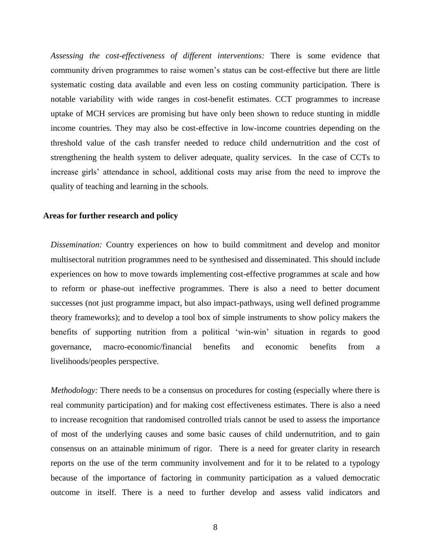*Assessing the cost-effectiveness of different interventions:* There is some evidence that community driven programmes to raise women's status can be cost-effective but there are little systematic costing data available and even less on costing community participation. There is notable variability with wide ranges in cost-benefit estimates. CCT programmes to increase uptake of MCH services are promising but have only been shown to reduce stunting in middle income countries. They may also be cost-effective in low-income countries depending on the threshold value of the cash transfer needed to reduce child undernutrition and the cost of strengthening the health system to deliver adequate, quality services. In the case of CCTs to increase girls' attendance in school, additional costs may arise from the need to improve the quality of teaching and learning in the schools.

#### **Areas for further research and policy**

*Dissemination:* Country experiences on how to build commitment and develop and monitor multisectoral nutrition programmes need to be synthesised and disseminated. This should include experiences on how to move towards implementing cost-effective programmes at scale and how to reform or phase-out ineffective programmes. There is also a need to better document successes (not just programme impact, but also impact-pathways, using well defined programme theory frameworks); and to develop a tool box of simple instruments to show policy makers the benefits of supporting nutrition from a political 'win-win' situation in regards to good governance, macro-economic/financial benefits and economic benefits from a livelihoods/peoples perspective.

*Methodology:* There needs to be a consensus on procedures for costing (especially where there is real community participation) and for making cost effectiveness estimates. There is also a need to increase recognition that randomised controlled trials cannot be used to assess the importance of most of the underlying causes and some basic causes of child undernutrition, and to gain consensus on an attainable minimum of rigor. There is a need for greater clarity in research reports on the use of the term community involvement and for it to be related to a typology because of the importance of factoring in community participation as a valued democratic outcome in itself. There is a need to further develop and assess valid indicators and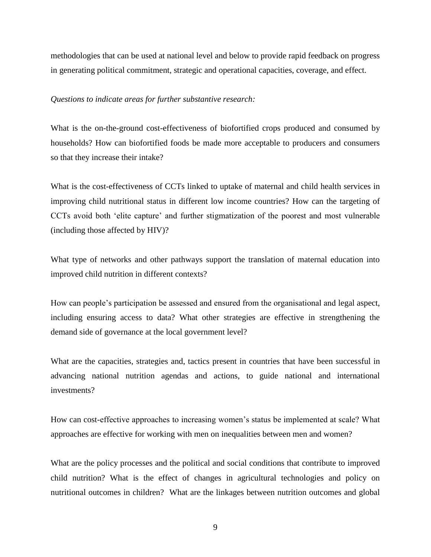methodologies that can be used at national level and below to provide rapid feedback on progress in generating political commitment, strategic and operational capacities, coverage, and effect.

### *Questions to indicate areas for further substantive research:*

What is the on-the-ground cost-effectiveness of biofortified crops produced and consumed by households? How can biofortified foods be made more acceptable to producers and consumers so that they increase their intake?

What is the cost-effectiveness of CCTs linked to uptake of maternal and child health services in improving child nutritional status in different low income countries? How can the targeting of CCTs avoid both 'elite capture' and further stigmatization of the poorest and most vulnerable (including those affected by HIV)?

What type of networks and other pathways support the translation of maternal education into improved child nutrition in different contexts?

How can people's participation be assessed and ensured from the organisational and legal aspect, including ensuring access to data? What other strategies are effective in strengthening the demand side of governance at the local government level?

What are the capacities, strategies and, tactics present in countries that have been successful in advancing national nutrition agendas and actions, to guide national and international investments?

How can cost-effective approaches to increasing women's status be implemented at scale? What approaches are effective for working with men on inequalities between men and women?

What are the policy processes and the political and social conditions that contribute to improved child nutrition? What is the effect of changes in agricultural technologies and policy on nutritional outcomes in children? What are the linkages between nutrition outcomes and global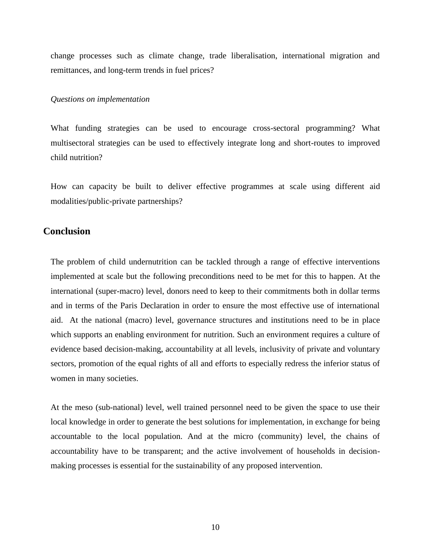change processes such as climate change, trade liberalisation, international migration and remittances, and long-term trends in fuel prices?

### *Questions on implementation*

What funding strategies can be used to encourage cross-sectoral programming? What multisectoral strategies can be used to effectively integrate long and short-routes to improved child nutrition?

How can capacity be built to deliver effective programmes at scale using different aid modalities/public-private partnerships?

# **Conclusion**

The problem of child undernutrition can be tackled through a range of effective interventions implemented at scale but the following preconditions need to be met for this to happen. At the international (super-macro) level, donors need to keep to their commitments both in dollar terms and in terms of the Paris Declaration in order to ensure the most effective use of international aid. At the national (macro) level, governance structures and institutions need to be in place which supports an enabling environment for nutrition. Such an environment requires a culture of evidence based decision-making, accountability at all levels, inclusivity of private and voluntary sectors, promotion of the equal rights of all and efforts to especially redress the inferior status of women in many societies.

At the meso (sub-national) level, well trained personnel need to be given the space to use their local knowledge in order to generate the best solutions for implementation, in exchange for being accountable to the local population. And at the micro (community) level, the chains of accountability have to be transparent; and the active involvement of households in decisionmaking processes is essential for the sustainability of any proposed intervention.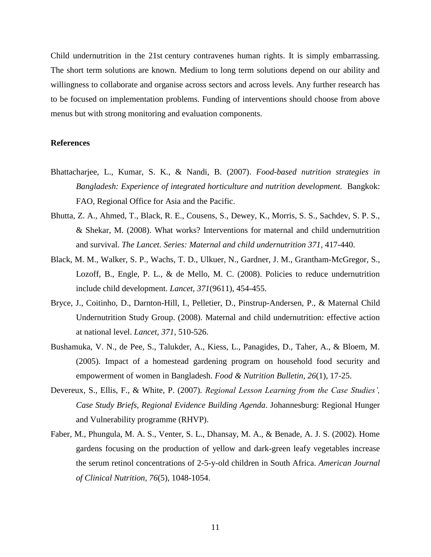Child undernutrition in the 21st century contravenes human rights. It is simply embarrassing. The short term solutions are known. Medium to long term solutions depend on our ability and willingness to collaborate and organise across sectors and across levels. Any further research has to be focused on implementation problems. Funding of interventions should choose from above menus but with strong monitoring and evaluation components.

## **References**

- Bhattacharjee, L., Kumar, S. K., & Nandi, B. (2007). *Food-based nutrition strategies in Bangladesh: Experience of integrated horticulture and nutrition development. Bangkok:* FAO, Regional Office for Asia and the Pacific.
- Bhutta, Z. A., Ahmed, T., Black, R. E., Cousens, S., Dewey, K., Morris, S. S., Sachdev, S. P. S., & Shekar, M. (2008). What works? Interventions for maternal and child undernutrition and survival. *The Lancet. Series: Maternal and child undernutrition 371*, 417-440.
- Black, M. M., Walker, S. P., Wachs, T. D., Ulkuer, N., Gardner, J. M., Grantham-McGregor, S., Lozoff, B., Engle, P. L., & de Mello, M. C. (2008). Policies to reduce undernutrition include child development. *Lancet, 371*(9611), 454-455.
- Bryce, J., Coitinho, D., Darnton-Hill, I., Pelletier, D., Pinstrup-Andersen, P., & Maternal Child Undernutrition Study Group. (2008). Maternal and child undernutrition: effective action at national level. *Lancet, 371*, 510-526.
- Bushamuka, V. N., de Pee, S., Talukder, A., Kiess, L., Panagides, D., Taher, A., & Bloem, M. (2005). Impact of a homestead gardening program on household food security and empowerment of women in Bangladesh. *Food & Nutrition Bulletin, 26*(1), 17-25.
- Devereux, S., Ellis, F., & White, P. (2007). *Regional Lesson Learning from the Case Studies', Case Study Briefs, Regional Evidence Building Agenda*. Johannesburg: Regional Hunger and Vulnerability programme (RHVP).
- Faber, M., Phungula, M. A. S., Venter, S. L., Dhansay, M. A., & Benade, A. J. S. (2002). Home gardens focusing on the production of yellow and dark-green leafy vegetables increase the serum retinol concentrations of 2-5-y-old children in South Africa. *American Journal of Clinical Nutrition, 76*(5), 1048-1054.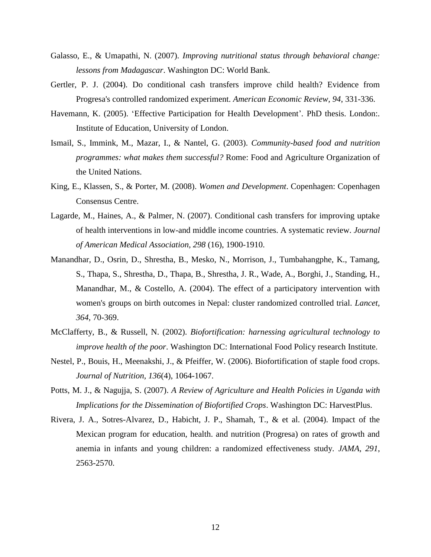- Galasso, E., & Umapathi, N. (2007). *Improving nutritional status through behavioral change: lessons from Madagascar*. Washington DC: World Bank.
- Gertler, P. J. (2004). Do conditional cash transfers improve child health? Evidence from Progresa's controlled randomized experiment. *American Economic Review, 94*, 331-336.
- Havemann, K. (2005). 'Effective Participation for Health Development'*.* PhD thesis. London:*.* Institute of Education, University of London.
- Ismail, S., Immink, M., Mazar, I., & Nantel, G. (2003). *Community-based food and nutrition programmes: what makes them successful?* Rome: Food and Agriculture Organization of the United Nations.
- King, E., Klassen, S., & Porter, M. (2008). *Women and Development*. Copenhagen: Copenhagen Consensus Centre.
- Lagarde, M., Haines, A., & Palmer, N. (2007). Conditional cash transfers for improving uptake of health interventions in low-and middle income countries. A systematic review. *Journal of American Medical Association, 298* (16), 1900-1910.
- Manandhar, D., Osrin, D., Shrestha, B., Mesko, N., Morrison, J., Tumbahangphe, K., Tamang, S., Thapa, S., Shrestha, D., Thapa, B., Shrestha, J. R., Wade, A., Borghi, J., Standing, H., Manandhar, M., & Costello, A. (2004). The effect of a participatory intervention with women's groups on birth outcomes in Nepal: cluster randomized controlled trial. *Lancet, 364*, 70-369.
- McClafferty, B., & Russell, N. (2002). *Biofortification: harnessing agricultural technology to improve health of the poor*. Washington DC: International Food Policy research Institute.
- Nestel, P., Bouis, H., Meenakshi, J., & Pfeiffer, W. (2006). Biofortification of staple food crops. *Journal of Nutrition, 136*(4), 1064-1067.
- Potts, M. J., & Nagujja, S. (2007). *A Review of Agriculture and Health Policies in Uganda with Implications for the Dissemination of Biofortified Crops*. Washington DC: HarvestPlus.
- Rivera, J. A., Sotres-Alvarez, D., Habicht, J. P., Shamah, T., & et al. (2004). Impact of the Mexican program for education, health. and nutrition (Progresa) on rates of growth and anemia in infants and young children: a randomized effectiveness study. *JAMA, 291*, 2563-2570.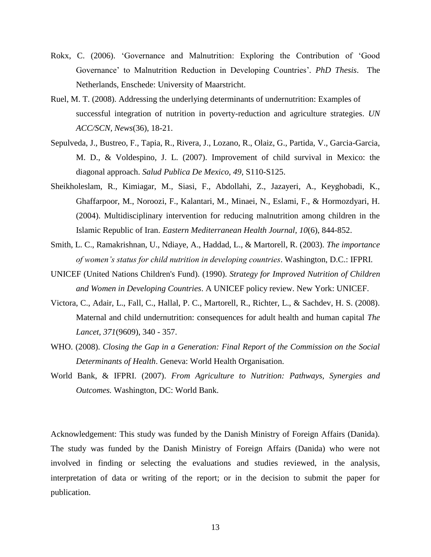- Rokx, C. (2006). 'Governance and Malnutrition: Exploring the Contribution of 'Good Governance' to Malnutrition Reduction in Developing Countries'*. PhD Thesis*. The Netherlands, Enschede: University of Maarstricht.
- Ruel, M. T. (2008). Addressing the underlying determinants of undernutrition: Examples of successful integration of nutrition in poverty-reduction and agriculture strategies. *UN ACC/SCN, News*(36), 18-21.
- Sepulveda, J., Bustreo, F., Tapia, R., Rivera, J., Lozano, R., Olaiz, G., Partida, V., Garcia-Garcia, M. D., & Voldespino, J. L. (2007). Improvement of child survival in Mexico: the diagonal approach. *Salud Publica De Mexico, 49*, S110-S125.
- Sheikholeslam, R., Kimiagar, M., Siasi, F., Abdollahi, Z., Jazayeri, A., Keyghobadi, K., Ghaffarpoor, M., Noroozi, F., Kalantari, M., Minaei, N., Eslami, F., & Hormozdyari, H. (2004). Multidisciplinary intervention for reducing malnutrition among children in the Islamic Republic of Iran. *Eastern Mediterranean Health Journal, 10*(6), 844-852.
- Smith, L. C., Ramakrishnan, U., Ndiaye, A., Haddad, L., & Martorell, R. (2003). *The importance of women's status for child nutrition in developing countries*. Washington, D.C.: IFPRI.
- UNICEF (United Nations Children's Fund). (1990). *Strategy for Improved Nutrition of Children and Women in Developing Countries*. A UNICEF policy review. New York: UNICEF.
- Victora, C., Adair, L., Fall, C., Hallal, P. C., Martorell, R., Richter, L., & Sachdev, H. S. (2008). Maternal and child undernutrition: consequences for adult health and human capital *The Lancet, 371*(9609), 340 - 357.
- WHO. (2008). *Closing the Gap in a Generation: Final Report of the Commission on the Social Determinants of Health*. Geneva: World Health Organisation.
- World Bank, & IFPRI. (2007). *From Agriculture to Nutrition: Pathways, Synergies and Outcomes.* Washington, DC: World Bank.

Acknowledgement: This study was funded by the Danish Ministry of Foreign Affairs (Danida). The study was funded by the Danish Ministry of Foreign Affairs (Danida) who were not involved in finding or selecting the evaluations and studies reviewed, in the analysis, interpretation of data or writing of the report; or in the decision to submit the paper for publication.